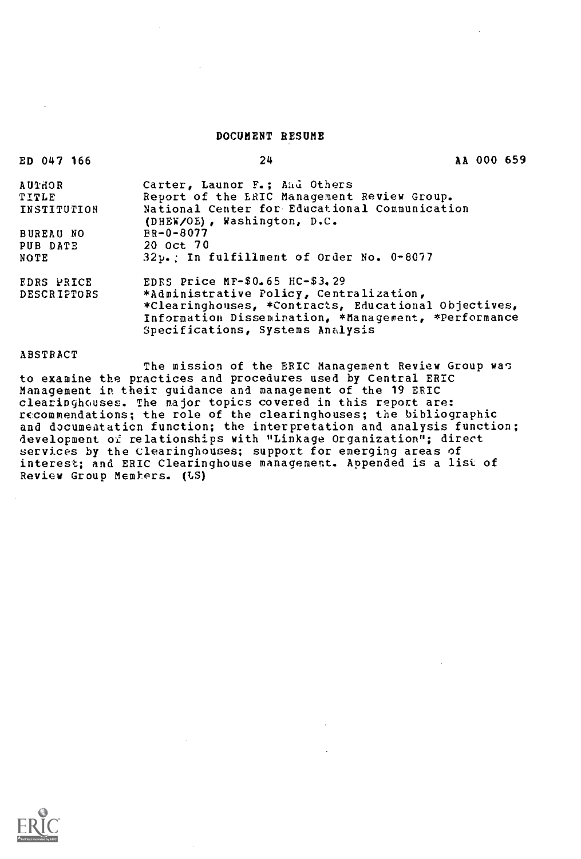## DOCUMENT RESUME

| ED 047 166         | 24                                                   | AA 000 659 |  |
|--------------------|------------------------------------------------------|------------|--|
| <b>RCHIDA</b>      | Carter, Launor F.; And Others                        |            |  |
| TITLE              | Report of the ERIC Management Review Group.          |            |  |
| INSTITUTION        | National Center for Educational Communication        |            |  |
|                    | (DHEW/OE), Washington, D.C.                          |            |  |
| <b>BUREAU NO</b>   | $BR - 0 - 8077$                                      |            |  |
| PUB DATE           | 20 oct 70                                            |            |  |
| NOTE               | $32\nu$ . In fulfillment of Order No. 0-8077         |            |  |
| EDRS PRICE         | EDRS Price MF-\$0.65 HC-\$3.29                       |            |  |
| <b>DESCRIPTORS</b> | *Administrative Policy, Centralization,              |            |  |
|                    | *Clearinghouses, *Contracts, Educational Objectives, |            |  |
|                    | Information Dissemination, *Management, *Performance |            |  |
|                    | Specifications, Systems Analysis                     |            |  |
|                    |                                                      |            |  |

## ABSTRACT

The mission of the ERIC Management Review Group was to examine the practices and procedures used by Central ERIC Management in their guidance and management of the 19 ERIC clearinghouses. The major topics covered in this report are: recommendations; the role of the clearinghouses; the bibliographic and documeataticn function; the interpretation and analysis function; development of relationships with "Linkage Organization"; direct services by the Clearinghouses; support for emerging areas of interest; and ERIC Clearinghouse management. Appended is a list of Review Group Members. (US)

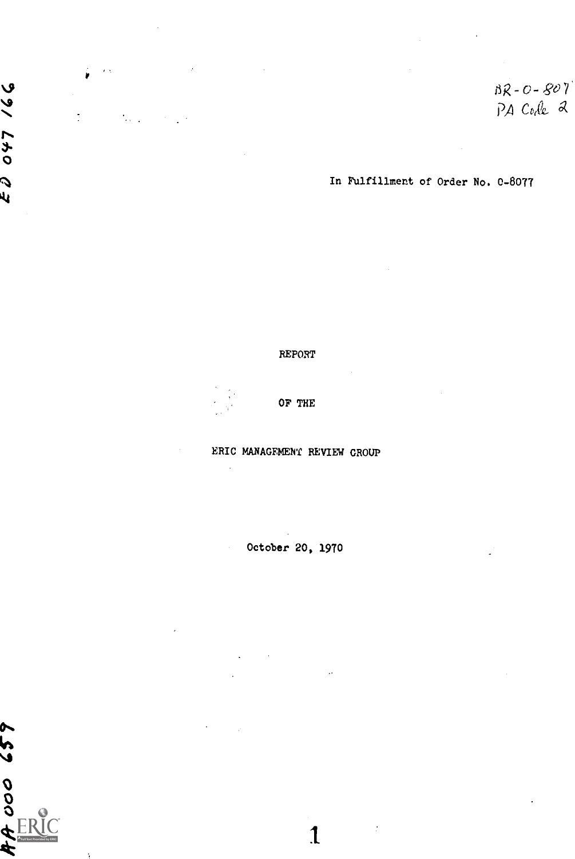$BR-O-BO7$ <br>PA Code 2

In Fulfillment of Order No. 0-8077

REPORT

 $\circ$   $\circ$ 

 $\epsilon$  )

 $\mathcal{L}_{\text{max}}$ 

 $\overline{Q}$ 

sk

44

OF THE

ERIC MANAGEMENT REVIEW GROUP

October 20, 1970

 $\mathbf{1}$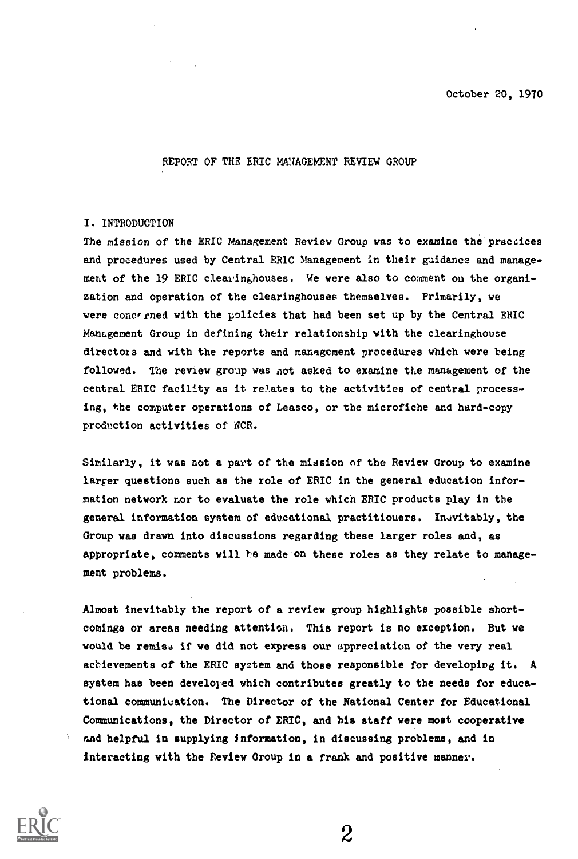October 20, 1970

REPORT OF THE ERIC MAIAGEMENT REVIEW GROUP

## I. INTRODUCTION

The mission of the ERIC Management Review Group was to examine the'praccices and procedures used by Central ERIC Management in their guidance and management of the 19 ERIC clearinghouses. We were also to comment on the organization and operation of the clearinghouses themselves. Primarily, we were concfrned with the policies that had been set up by the Central ERIC Management Group in defining their relationship with the clearinghouse dtrectois and with the reports and management procedures which were being followed. The review group was not asked to examine the management of the central ERIC facility as it relates to the activities of central processing, the computer operations of Leasco, or the microfiche and hard-copy production activities of ACR.

Similarly, it was not a part of the mission of the Review Group to examine larger questions such as the role of ERIC in the general education information network nor to evaluate the role which ERIC products play in the general information system of educational practitioners. Inevitably, the Group was drawn into discussions regarding these larger roles and, as appropriate, comments will 'he made on these roles as they relate to management problems.

Almost inevitably the report of a review group highlights possible shortcomings or areas needing attention. This report is no exception. But we would be remiss if we did not express our appreciation of the very real achievements of the ERIC system and those responsible for developing it. A system has been developed which contributes greatly to the needs for educational communication. The Director of the National Center for Educational Communications, the Director of ERIC, and his staff were most cooperative and helpful in supplying information, in discussing problems, and in interacting with the Review Group in a frank and positive manner.

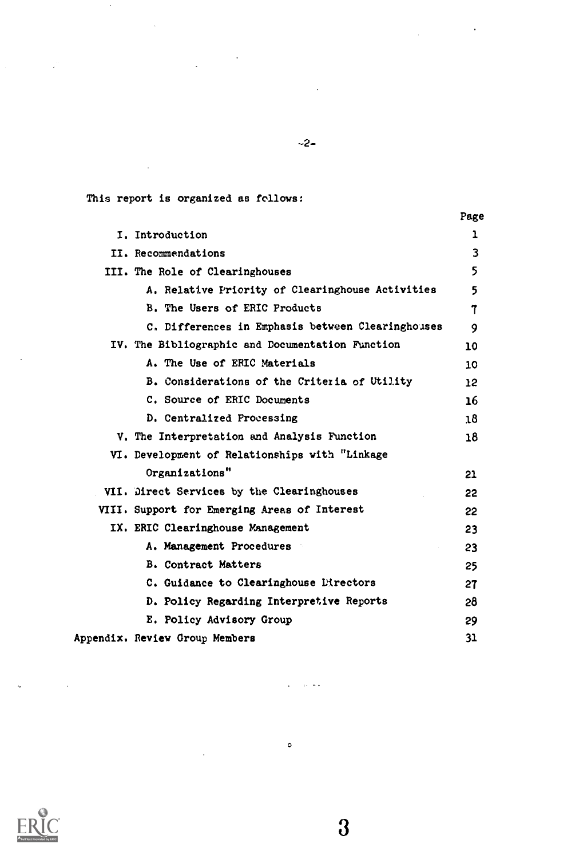This report is organized as follows:

 $\frac{1}{2} \frac{1}{2} \left( \frac{1}{2} \right)^2$  ,  $\frac{1}{2} \left( \frac{1}{2} \right)^2$ 

 $\sim$ 

 $\mathcal{L}$ 

 $\mathcal{L}_{\mathcal{A}}$ 

 $\hat{\mathcal{A}}$ 

|                                                   | Page            |  |
|---------------------------------------------------|-----------------|--|
| I. Introduction                                   | ı               |  |
| II. Recommendations                               | 3               |  |
| III. The Role of Clearinghouses                   | 5               |  |
| A. Relative Priority of Clearinghouse Activities  | 5               |  |
| B. The Users of ERIC Products                     | 7               |  |
| C. Differences in Emphasis between Clearinghouses | 9               |  |
| IV. The Bibliographic and Documentation Function  | 10              |  |
| A. The Use of ERIC Materials                      | 10              |  |
| B. Considerations of the Criteria of Utility      | 12 <sup>2</sup> |  |
| C. Source of ERIC Documents                       | 16              |  |
| D. Centralized Processing                         | 18              |  |
| V. The Interpretation and Analysis Function       | 18              |  |
| VI. Development of Relationships with "Linkage    |                 |  |
| Organizations"                                    | 21              |  |
| VII. Direct Services by the Clearinghouses        | 22              |  |
| VIII. Support for Emerging Areas of Interest      | 22              |  |
| IX. ERIC Clearinghouse Management                 | 23              |  |
| A. Management Procedures                          | 23              |  |
| <b>B. Contract Matters</b>                        | 25              |  |
| C. Guidance to Clearinghouse Directors            | 27              |  |
| D. Policy Regarding Interpretive Reports          | 28              |  |
| E. Policy Advisory Group                          | 29              |  |
| Appendix. Review Group Members                    | 31              |  |
|                                                   |                 |  |

 $\circ$ 

 $\sim$ 

 $\ddot{\phantom{a}}$ 

 $\sim 10^{-12}$  km



 $\hat{\phi}$ 

 $\sim 10^{-11}$  k

-2-

 $\mathcal{L}_{\text{max}}$  and  $\mathcal{L}_{\text{max}}$ 

 $\overline{3}$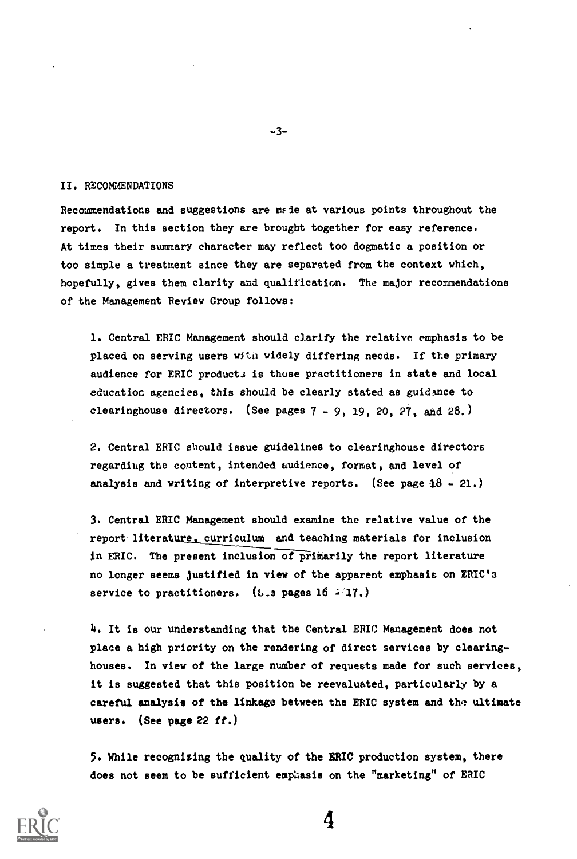## II. RECOMMENDATIONS

Recommendations and suggestions are made at various points throughout the report. In this section they are brought together for easy reference. At times their summary character may reflect too dogmatic a position or too simple a treatment since they are separated from the context which, hopefully, gives them clarity and qualification. The major recommendations of the Management Review Group follows:

1. Central ERIC Management should clarify the relative emphasis to be placed on serving users with widely differing needs. If the primary audience for ERIC products is those practitioners in state and local education agencies, this should be clearly stated as guidance to clearinghouse directors. (See pages 7 - 9, 19, 20, 27, and 28.)

2. Central ERIC should issue guidelines to clearinghouse directors regarding the content, intended audience, format, and level of analysis and writing of interpretive reports. (See page  $18 - 21$ .)

3. Central ERIC Management should examine the relative value of the report literature. curriculum and teaching materials for inclusion in ERIC. The present inclusion of primarily the report literature no longer seems justified in view of the apparent emphasis on ERIC'S service to practitioners. (5.2 pages  $16$   $(17)$ )

h. It is our understanding that the Central ERIC Management does not place a high priority on the rendering of direct services by clearinghouses. In view of the large number of requests made for such services, it is suggested that this position be reevaluated, particularly by a careful analysis of the linkage between the ERIC system and the ultimate users. (See page 22 ff.)

5. While recognising the quality of the ERIC production system, there does not seem to be sufficient emphasis on the "marketing" of ERIC



-3-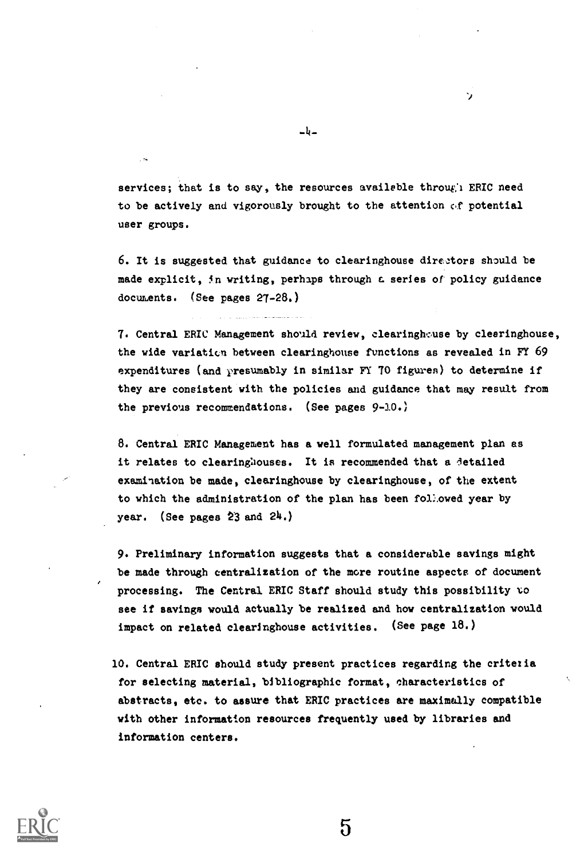services; that is to say, the resources available through ERIC need to be actively and vigorously brought to the attention c.f potential user groups.

6. It is suggested that guidance to clearinghouse directors should be made explicit, in writing, perhaps through a series of policy guidance documents. (See pages 27-28.)

7. Central ERIC Management should review, clearinghouse by clearinghouse, the wide variation between clearinghouse functions as revealed in FY 69 expenditures (and presumably in similar FY 70 figures) to determine if they are consistent with the policies and guidance that may result from the previous recommendations. (See pages 9-10.)

8. Central ERIC Management has a well formulated management plan as it relates to clearinghouses. It is recommended that a detailed examination be made, clearinghouse by clearinghouse, of the extent to which the administration of the plan has been foL.owed year by year. (See pages 23 and 24.)

9. Preliminary information suggests that a considerable savings might be made through centralization of the more routine aspects of document processing. The Central ERIC Staff should study this possibility vo see if savings would actually be realized and how centralization would impact on related clearinghouse activities. (See page 18.)

10. Central ERIC should study present practices regarding the critezia for selecting material, bibliographic format, characteristics of abstracts, etc. to assure that ERIC practices are maximally compatible with other information resources frequently used by libraries and information centers.

 $\mathbf 5$ 



-4-

÷,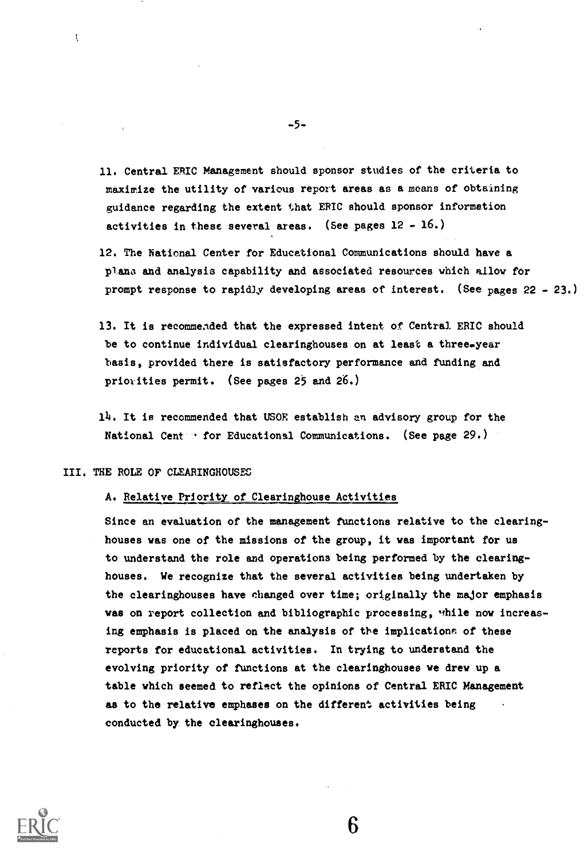- 11. Central ERIC Management should sponsor studies of the criteria to maximize the utility of various report areas as a means of obtaining guidance regarding the extent that ERIC should sponsor information activities in these several areas. (See pages  $12 - 16$ .)
- 12. The National Center for Educational Communications should have a plans and analysis capability and associated resources which allow for prompt response to rapidly developing areas of interest. (See pages 22 - 23.)
- 13. It is recommended that the expressed intent of Central ERIC should be to continue individual clearinghouses on at least a three-year basis, provided there is satisfactory performance and funding and priorities permit. (See pages 25 and 26.)

14. It is recommended that USOE establish an advisory group for the National Cent  $\cdot$  for Educational Communications. (See page 29.)

## III. THE ROLE OF CLEARINGHOUSES

 $\ddot{\zeta}$ 

## A. Relative Priority of Clearinghouse Activities

Since an evaluation of the management functions relative to the clearinghouses was one of the missions of the group, it was important for us to understand the role and operations being performed by the clearinghouses. We recognize that the several activities being undertaken by the clearinghouses have changed over time; originally the major emphasis was on report collection and bibliographic processing, while now increasing emphasis is placed on the analysis of the implications of these reports for educational activities. In trying to understand the evolving priority of functions at the clearinghouses we drew up a table which seemed to reflect the opinions of Central ERIC Management as to the relative emphases on the different activities being conducted by the clearinghouses.



-5-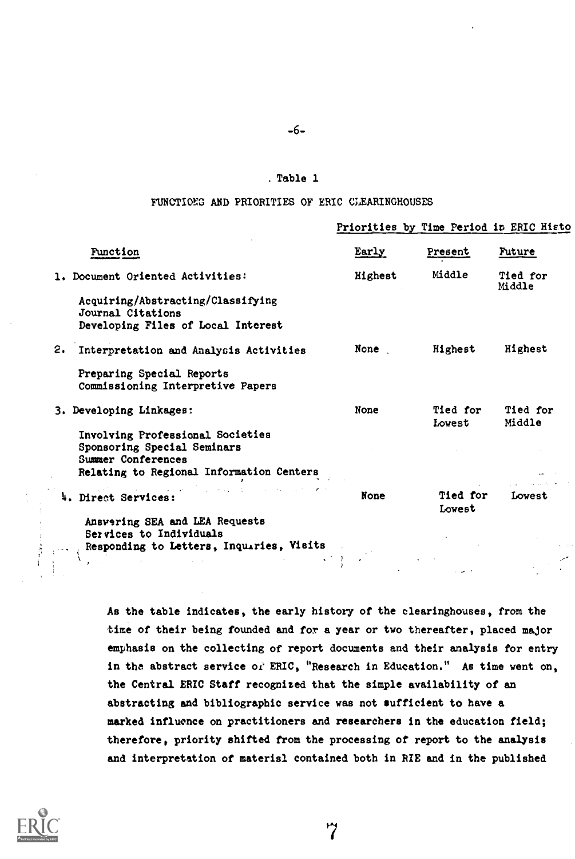# -6-

# . Table 1

# FUNCTIONG AND PRIORITIES OF ERIC CLEARINGHOUSES

|                                                                                              |         | Priorities by Time Period in ERIC Histo |                    |
|----------------------------------------------------------------------------------------------|---------|-----------------------------------------|--------------------|
| <b>Function</b>                                                                              | Early   | Present                                 | Future             |
| 1. Document Oriented Activities:                                                             | Highest | Middle                                  | Tied for<br>Middle |
| Acquiring/Abstracting/Classifying<br>Journal Citations<br>Developing Files of Local Interest |         |                                         |                    |
| 2. Interpretation and Analysis Activities                                                    | None    | Highest                                 | Highest            |
| Preparing Special Reports<br>Commissioning Interpretive Papers                               |         |                                         |                    |
| 3. Developing Linkages:                                                                      | None    | Tied for<br>Lovest                      | Tied for<br>Middle |
| Involving Professional Societies<br>Sponsoring Special Seminars<br>Summer Conferences        |         |                                         |                    |
| Relating to Regional Information Centers                                                     |         |                                         |                    |
| 4. Direct Services:                                                                          | None    | <b>Tied for</b><br>Lowest               | Lovest             |
| Ansvering SEA and LEA Requests<br>Services to Individuals                                    |         |                                         |                    |
| Responding to Letters, Inquiries, Visits                                                     |         |                                         |                    |
|                                                                                              |         |                                         |                    |

As the table indicates, the early history of the clearinghouses, from the time of their being founded and for a year or two thereafter, placed major emphasis on the collecting of report documents and their analysis for entry in the abstract service of ERIC, "Research in Education." As time went on, the Central ERIC Staff recognized that the simple availability of an abstracting and bibliographic service was not sufficient to have a marked influence on practitioners and researchers in the education field; therefore, priority shifted from the processing of report to the analysis and interpretation of material contained both in RIE and in the published

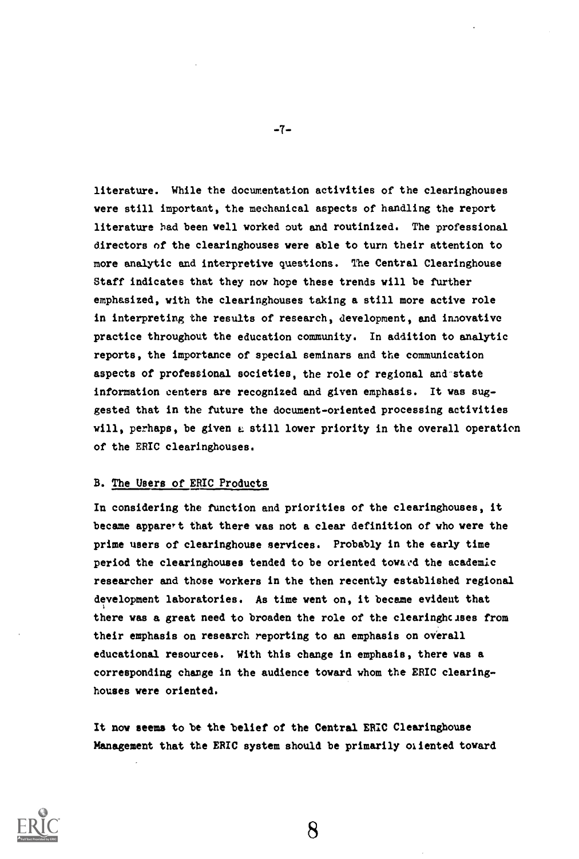literature. While the documentation activities of the clearinghouses were still important, the mechanical aspects of handling the report literature had been well worked out and routinized. The professional directors of the clearinghouses were able to turn their attention to more analytic and interpretive questions. The Central Clearinghouse Staff indicates that they now hope these trends will be further emphasized, with the clearinghouses taking a still more active role in interpreting the results of research, development, and inzovative practice throughout the education community. In addition to analytic reports, the importance of special seminars and the communication aspects of professional societies, the role of regional and-state information centers are recognized and given emphasis. It was suggested that in the future the document-oriented processing activities will, perhaps, be given a still lower priority in the overall operation of the ERIC clearinghouses.

# B. The Users of ERIC Products

In considering the function and priorities of the clearinghouses, it became apparert that there was not a clear definition of who were the prime users of clearinghouse services. Probably in the early time period the clearinghouses tended to be oriented toward the academic researcher and those workers in the then recently established regional development laboratories. As time went on, it became evident that there was a great need to broaden the role of the clearinghcises from their emphasis on research reporting to an emphasis on overall educational resources. With this change in emphasis, there was a corresponding change in the audience toward whom the ERIC clearinghouses were oriented.

It now seems to be the belief of the Central ERIC Clearinghouse Management that the ERIC system should be primarily oriented toward



-7-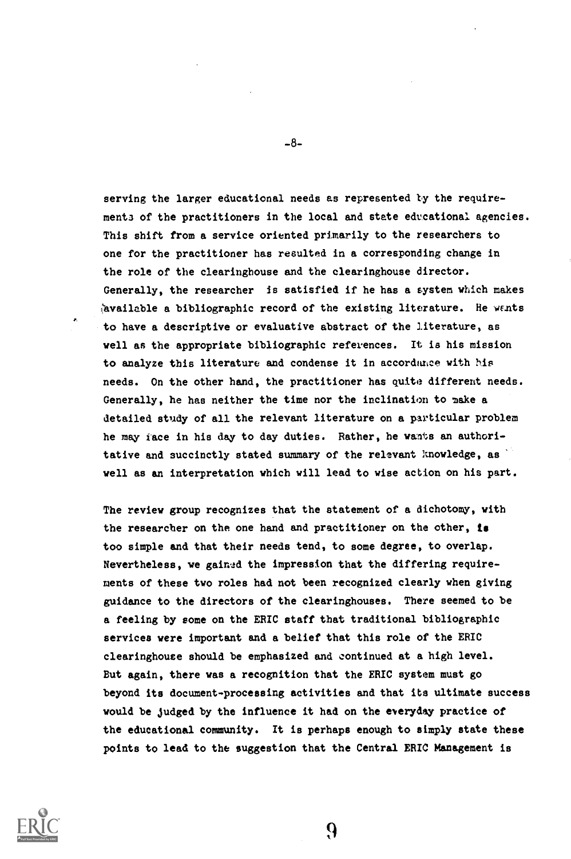serving the larger educational needs as represented ty the requirements of the practitioners in the local and state educational agencies. This shift from a service oriented primarily to the researchers to one for the practitioner has resulted in a corresponding change in the role of the clearinghouse and the clearinghouse director. Generally, the researcher is satisfied if he has a system which makes havailable a bibliographic record of the existing literature. He wants to have a descriptive or evaluative abstract of the literature, as well as the appropriate bibliographic references. It is his mission to analyze this literature and condense it in accordance with his needs. On the other hand, the practitioner has quite different needs. Generally, he has neither the time nor the inclination to make a detailed study of all the relevant literature on a particular problem he may face in his day to day duties. Rather, he wants an authoritative and succinctly stated summary of the relevant knowledge, as well as an interpretation which will lead to wise action on his part.

The review group recognizes that the statement of a dichotomy, with the researcher on the one hand and practitioner on the other, is too simple and that their needs tend, to some degree, to overlap. Nevertheless, we gained the impression that the differing requirements of these two roles had not been recognized clearly when giving guidance to the directors of the clearinghouses. There seemed to be a feeling by some on the ERIC staff that traditional bibliographic services were important and a belief that this role of the ERIC clearinghouse should be emphasized and continued at a high level. But again, there was a recognition that the ERIC system must go beyond its document-processing activities and that its ultimate success would be judged by the influence it had on the everyday practice of the educational community. It is perhaps enough to simply state these points to lead to the suggestion that the Central ERIC Management is



-8-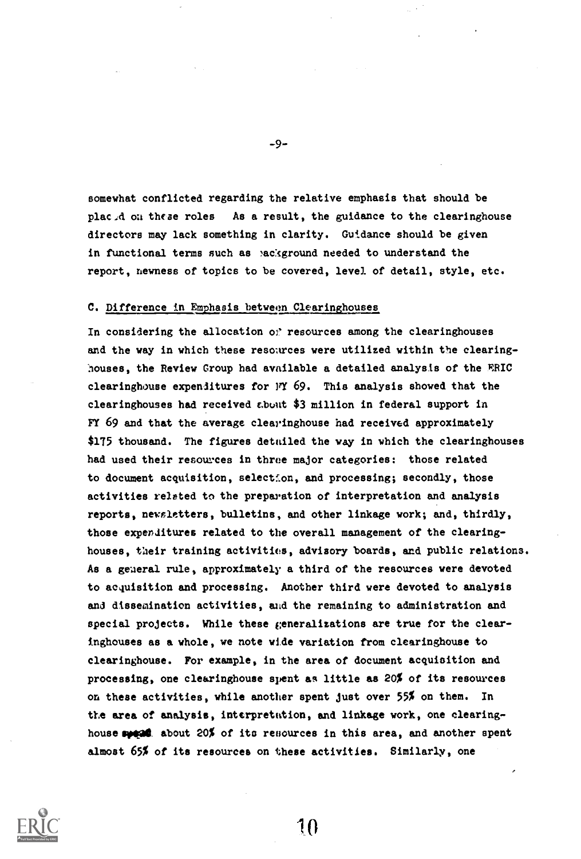somewhat conflicted regarding the relative emphasis that should be placid on these roles As a result, the guidance to the clearinghouse directors may lack something in clarity. Guidance should be given in functional terms such as mackground needed to understand the report, newness of topics to be covered, level of detail, style, etc.

-9-

# C. Difference in Emphasis between Clearinghouses

In considering the allocation of resources among the clearinghouses and the way in which these resources were utilized within the clearing houses, the Review Group had available a detailed analysis of the ERIC clearinghouse expenditures for  $J'Y$  69. This analysis showed that the clearinghouses had received cbuut \$3 million in federal support in FY 69 and that the average clearinghouse had received approximately \$175 thousand. The figures detailed the way in which the clearinghouses had used their resources in three major categories: those related to document acquisition, selectfon, and processing; secondly, those activities related to the preparation of interpretation and analysis reports, newsletters, bulletins, and other linkage work; and, thirdly, those expenditures related to the overall management of the clearinghouses, their training activities, advisory boards, and public relations. As a general rule, approximately a third of the resources were devoted to acquisition and processing. Another third were devoted to analysis and dissemination activities, and the remaining to administration and special projects. While these generalizations are true for the clearinghouses as a whole, we note wide variation from clearinghouse to clearinghouse. For example, in the area of document acquisition and processing, one clearinghouse spent as little as 20% of its resources on these activities, while another spent just over 55% on them. In the area of analysis, interpretation, and linkage work, one clearinghouse speed about 20% of its resources in this area, and another spent almost 65% of its resources on these activities. Similarly, one



 $1<sub>0</sub>$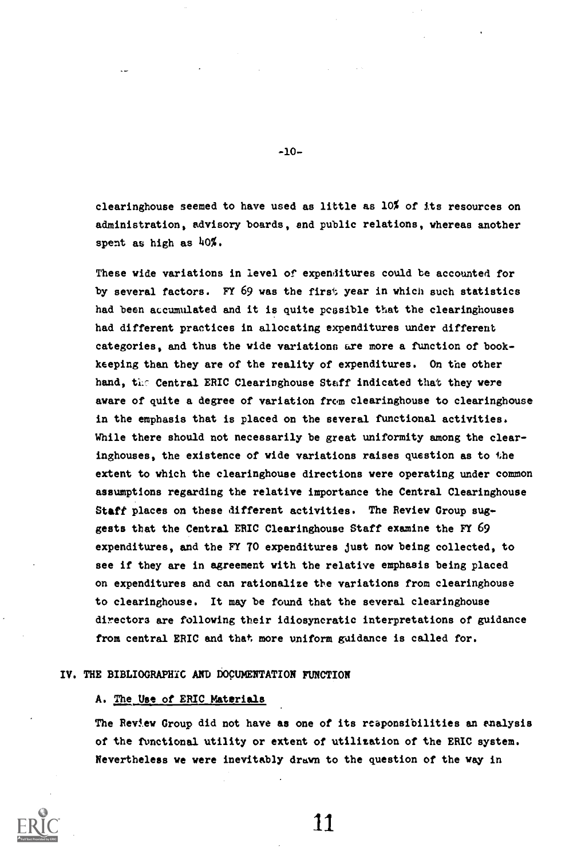clearinghouse seemed to have used as little as 10% of its resources on administration, advisory boards, end public relations, whereas another spent as high as  $40\%$ .

-10-

These wide variations in level of expenditures could be accounted for by several factors. FY 69 was the first year in which such statistics had been accumulated and it is quite possible that the clearinghouses had different practices in allocating expenditures under different categories, and thus the wide variations are more a function of bookkeeping than they are of the reality of expenditures. On the other hand, the Central ERIC Clearinghouse Staff indicated that they were aware of quite a degree of variation from clearinghouse to clearinghouse in the emphasis that is placed on the several functional activities. While there should not necessarily be great uniformity among the clearinghouses, the existence of wide variations raises question as to the extent to which the clearinghouse directions were operating under common assumptions regarding the relative importance the Central Clearinghouse Staff places on these different activities. The Review Group suggests that the Central ERIC Clearinghouse Staff examine the FY 69 expenditures, and the FY TO expenditures just now being collected, to see if they are in agreement with the relative emphasis being placed on expenditures and can rationalize the variations from clearinghouse to clearinghouse. It may be found that the several clearinghouse directors are following their idiosyncratic interpretations of guidance from central ERIC and that more uniform guidance is called for.

## IV. THE BIBLIOGRAPHIC AND DOCUMENTATION FUNCTION

## A. The Use of ERIC Materials

The Review Group did not have as one of its reaponsibilities an analysis of the functional utility or extent of utilization of the ERIC system. Nevertheless we were inevitably drawn to the question of the way in

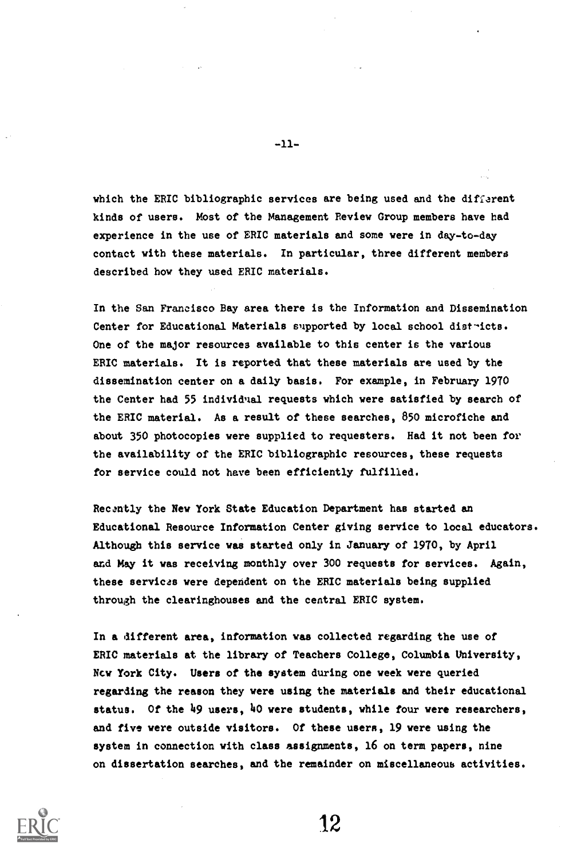which the ERIC bibliographic services are being used and the different kinds of users. Most of the Management Review Group members have had experience in the use of ERIC materials and some were in day-to-day contact with these materials. In particular, three different members described how they used ERIC materials.

In the San Francisco Bay area there is the Information and Dissemination Center for Educational Materials supported by local school districts. One of the major resources available to this center is the various ERIC materials. It is reported that these materials are used by the dissemination center on a daily basis. For example, in February 1970 the Center had 55 individnal requests which were satisfied by search of the ERIC material. As a result of these searches, 850 microfiche and about 350 photocopies were supplied to requesters. Had it not been for the availability of the ERIC bibliographic resources, these requests for service could not have been efficiently fulfilled.

Recantly the New York State Education Department has started an Educational Resource Information Center giving service to local educators. Although this service was started only in January of 1970, by April and May it was receiving monthly over 300 requests for services. Again, these services were dependent on the ERIC materials being supplied through the clearinghouses and the central ERIC system.

In a different area, information was collected regarding the use of ERIC materials at the library of Teachers College, Columbia University, Ncv York City. Users of the system during one week were queried regarding the reason they were using the materials and their educational status. Of the 49 users, 40 were students, while four were researchers, and five were outside visitors. Of these users, 19 were using the system in connection with class assignments, 16 on term papers, nine on dissertation searches, and the remainder on miscellaneous activities.



 $-11-$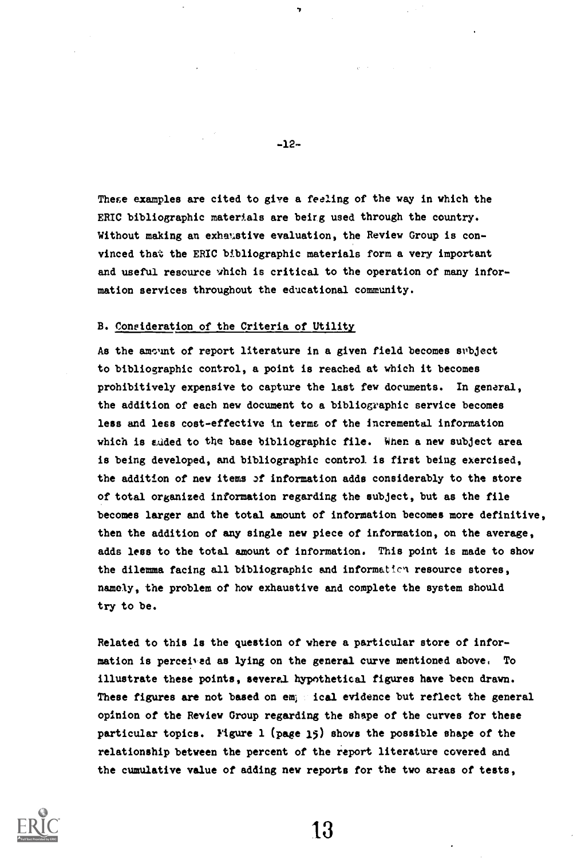These examples are cited to give a feeling of the way in which the ERIC bibliographic materials are being used through the country. Without making an exhaustive evaluation, the Review Group is convinced that the ERIC bibliographic materials form a very important and useful resource which is critical to the operation of many information services throughout the educational community.

#### B. Coneideration of the Criteria of Utility

As the amount of report literature in a given field becomes subject to bibliographic control, a point is reached at which it becomes prohibitively expensive to capture the last few documents. In general, the addition of each new document to a bibliographic service becomes less and less cost-effective in terms of the incremental information which is suded to the base bibliographic file. When a new subject area is being developed, and bibliographic control is first being exercised, the addition of new items of information adds considerably to the store of total organized information regarding the subject, but as the file becomes larger and the total amount of information becomes more definitive, then the addition of any single new piece of information, on the average, adds less to the total amount of information. This point is made to show the dilemma facing all bibliographic and information resource stores, namely, the problem of how exhaustive and complete the system should try to be.

Related to this is the question of where a particular store of information is perceived as lying on the general curve mentioned above, To illustrate these points, several hypothetical figures have been drawn. These figures are not based on em; foal evidence but reflect the general opinion of the Review Group regarding the shape of the curves for these particular topics. Figure 1 (page 15) shows the possible shape of the relationship between the percent of the report literature covered and the cumulative value of adding new reports for the two areas of testa,



-12-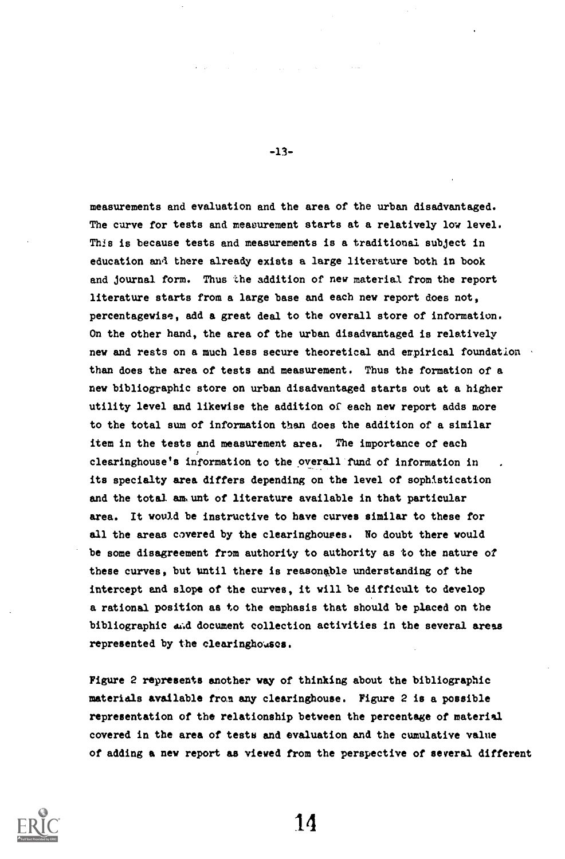measurements and evaluation and the area of the urban disadvantaged. The curve for tests and measurement starts at a relatively low level. This is because tests and measurements is a traditional subject in education awl there already exists a large literature both in book and journal form. Thus the addition of new material from the report literature starts from a large base and each new report does not, percentagewise, add a great deal to the overall store of information. On the other hand, the area of the urban disadvantaged is relatively new and rests on a much less secure theoretical and erpirical foundation than does the area of tests and measurement. Thus the formation of a new bibliographic store on urban disadvantaged starts out at a higher utility level and likewise the addition of each new report adds more to the total sum of information than does the addition of a similar item in the tests and measurement area. The importance of each clearinghouse's information to the overall fund of information in its specialty area differs depending on the level of sophistication and the total am unt of literature available in that particular area. It would be instructive to have curves similar to these for all the areas covered by the clearinghouses. No doubt there would be some disagreement from authority to authority as to the nature of these curves, but until there is reasonable understanding of the intercept and slope of the curves, it will be difficult to develop a rational position as to the emphasis that should be placed on the bibliographic and document collection activities in the several areas represented by the clearinghouses.

Figure 2 represents another way of thinking about the bibliographic materials available from any clearinghouse. Figure 2 is a possible representation of the relationship between the percentage of material covered in the area of testa and evaluation and the cumulative value of adding a new report as viewed from the perspective of several different



-13-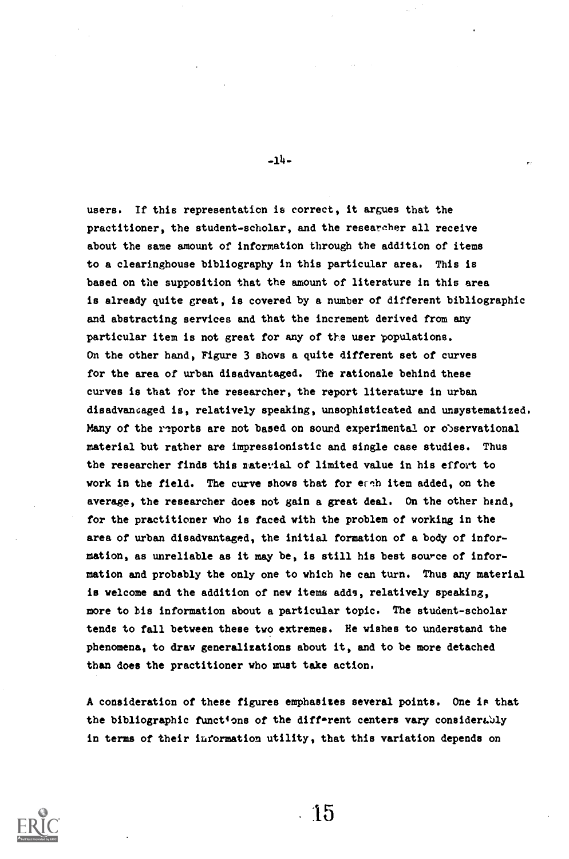users. If this representation is correct, it argues that the practitioner, the student-scholar, and the researcher all receive about the same amount of information through the addition of items to a clearinghouse bibliography in this particular area. This is based on the supposition that the amount of literature in this area is already quite great, is covered by a number of different bibliographic and abstracting services and that the increment derived from any particular item is not great for any of the user populations. On the other hand, Figure 3 shows a quite different set of curves for the area of urban disadvantaged. The rationale behind these curves is that for the researcher, the report literature in urban disadvancaged is, relatively speaking, unsophisticated and unsystematized. Many of the reports are not based on sound experimental or observational material but rather are impressionistic and single case studies. Thus the researcher finds this naterial of limited value in his effort to work in the field. The curve shows that for each item added, on the average, the researcher does not gain a great deal. On the other hend, for the practitioner who is faced with the problem of working in the area of urban disadvantaged, the initial formation of a body of information, as unreliable as it may be, is still his best source of information and probably the only one to which he can turn. Thus any material is welcome and the addition of new items adds, relatively speaking, more to bis information about a particular topic. The student-scholar tends to fall between these two extremes. He wishes to understand the phenomena, to draw generalizations about it, and to be more detached than does the practitioner who must take action.

A consideration of these figures emphasizes several points. One is that the bibliographic functions of the different centers vary considerably in terms of their information utility, that this variation depends on



 $-14-$ 

15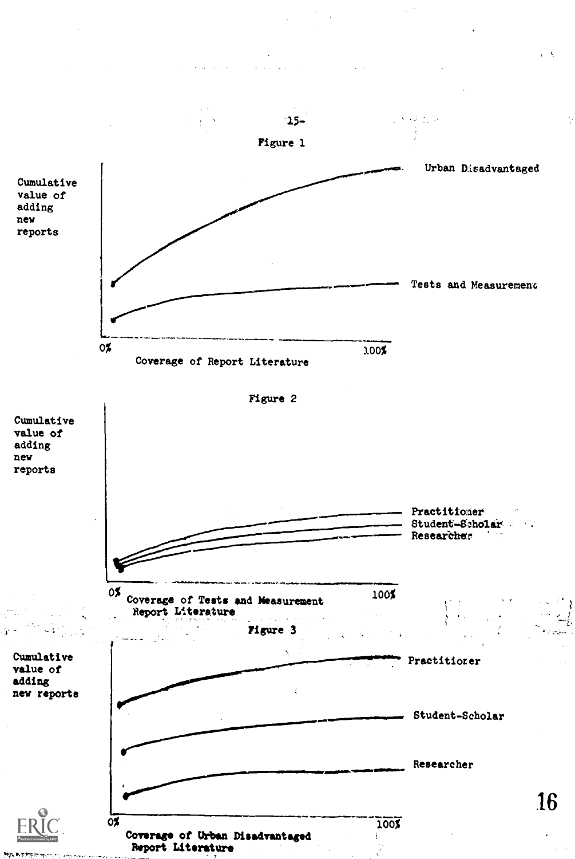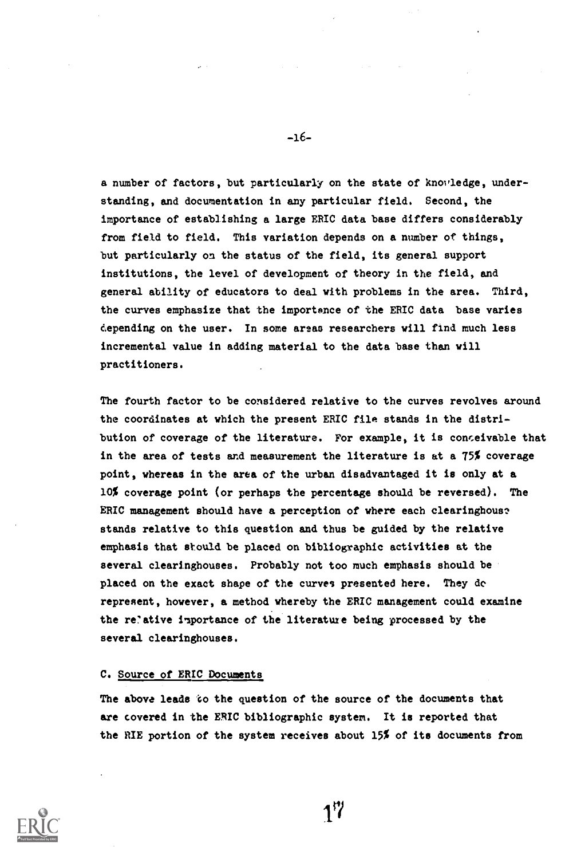a number of factors, but particularly on the state of knovledge, understanding, and documentation in any particular field. Second, the importance of establishing a large ERIC data base differs considerably from field to field. This variation depends on a number of things, but particularly on the status of the field, its general support institutions, the level of development of theory in the field, and general ability of educators to deal with problems in the area. Third, the curves emphasize that the importance of the ERIC data base varies depending on the user. In some areas researchers will find much less incremental value in adding material to the data base than will practitioners.

The fourth factor to be considered relative to the curves revolves around the coordinates at which the present ERIC file stands in the distribution of coverage of the literature. For example, it is conceivable that in the area of tests and measurement the literature is at a 75% coverage point, whereas in the area of the urban disadvantaged it is only at a 10% coverage point (or perhaps the percentage should be reversed). The ERIC management should have a perception of where each clearinghous? stands relative to this question and thus be guided by the relative emphasis that should be placed on bibliographic activities at the several clearinghouses. Probably not too much emphasis should be placed on the exact shape of the curves presented here. They dc represent, however, a method whereby the ERIC management could examine the relative importance of the literature being processed by the several clearinghouses.

# C. Source of ERIC Documents

The above leads to the question of the source of the documents that are covered in the ERIC bibliographic system. It is reported that the RIE portion of the system receives about 15% of its documents from



-16-

17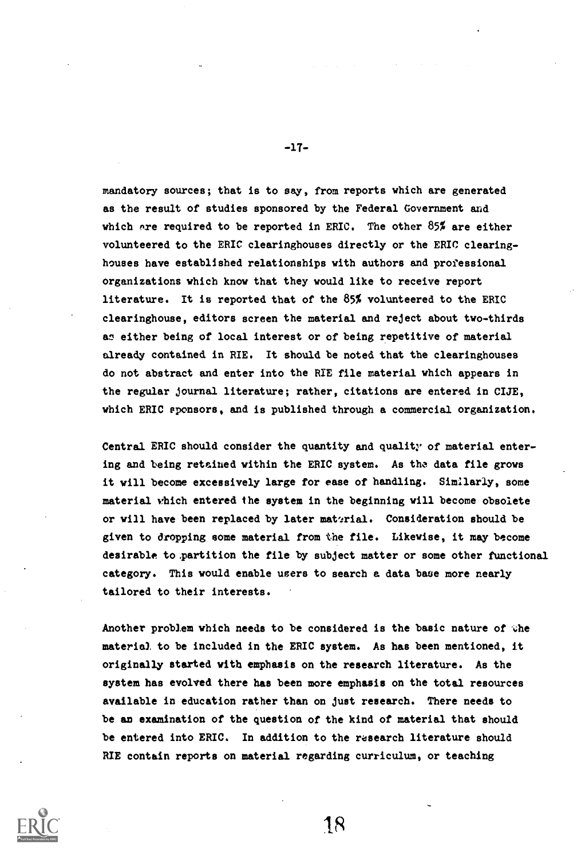mandatory sources; that is to say, from reports which are generated as the result of studies sponsored by the Federal Government and which are required to be reported in ERIC. The other  $85\%$  are either volunteered to the ERIC clearinghouses directly or the ERIC clearinghouses have established relationships with authors and professional organizations which know that they would like to receive report literature. It is reported that of the 85% volunteered to the ERIC clearinghouse, editors screen the material and reject about two-thirds as either being of local interest or of being repetitive of material already contained in RIE. It should be noted that the clearinghouses do not abstract and enter into the RIE file material which appears in the regular journal literature; rather, citations are entered in CIJE, which ERIC sponsors, and is published through a commercial organization.

Central ERIC should consider the quantity and quality of material entering and being retained within the ERIC system. As the data file grows it will become excessively large for ease of handling. Similarly, some material which entered the system in the beginning will become obsolete or will have been replaced by later material. Consideration should be given to dropping some material from the file. Likewise, it may become desirable to partition the file by subject matter or some other functional category. This would enable users to search a data base more nearly tailored to their interests.

Another problem which needs to be considered is the basic nature of the material to be included in the ERIC system. As has been mentioned, it originally started with emphasis on the research literature. As the system has evolved there has been more emphasis on the total resources available in education rather than on just research. There needs to be an examination of the question of the kind of material that should be entered into ERIC. In addition to the research literature should RIE contain reports on material regarding curriculum, or teaching



-17-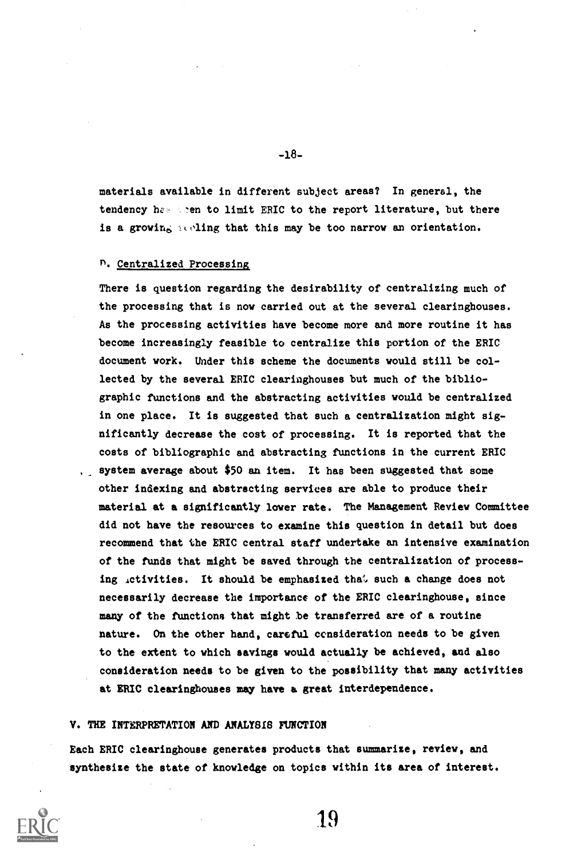materials available in different subject areas? In general, the tendency he- the to limit ERIC to the report literature, but there is a growing teling that this may be too narrow an orientation.

## n. Centralized Processing

There is question regarding the desirability of centralizing much of the processing that is now carried out at the several clearinghouses. As the processing activities have become more and more routine it has become increasingly feasible to centralize this portion of the ERIC document work. Under this scheme the documents would still be collected by the several ERIC clearinghouses but much of the bibliographic functions and the abstracting activities would be centralized in one place. It is suggested that such a centralization might significantly decrease the cost of processing. It is reported that the costs of bibliographic and abstracting functions in the current ERIC , system average about \$50 an item. It has been suggested that some other indexing and abstracting services are able to produce their material at a significantly lower rate. The Management Review Committee did not have the resources to examine this question in detail but does recommend that the ERIC central staff undertake an intensive examination of the funds that might be saved through the centralization of processing ictivities. It should be emphasized that such a change does not necessarily decrease the importance of the ERIC clearinghouse, since many of the functions that might be transferred are of a routine nature. On the other hand, careful consideration needs to be given to the extent to which savings would actually be achieved, and also consideration needs to be given to the possibility that many activities at ERIC clearinghouses may have a great interdependence.

#### V. THE INTERPRETATION AND ANALYSIS FUNCTION

Each ERIC clearinghouse generates products that summarize, review, and synthesize the state of knowledge on topics within its area of interest.



19

-18-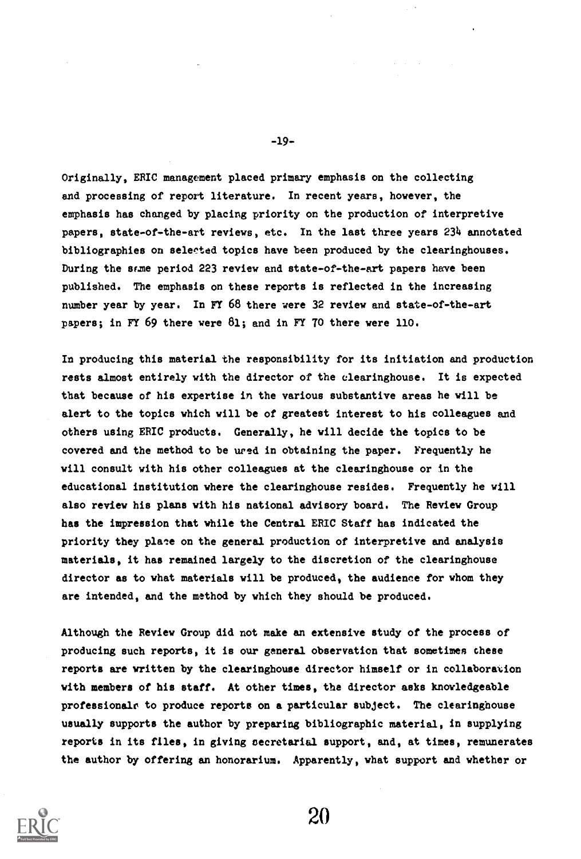Originally, ERIC management placed primary emphasis on the collecting and processing of report literature. In recent years, however, the emphasis has changed by placing priority on the production of interpretive papers, state-of-the-art reviews, etc. In the last three years 234 annotated bibliographies on selected topics have been produced by the clearinghouses. During the acme period 223 review and state-of-the-art papers have been published. The emphasis on these reports is reflected in the increasing number year by year. In FY 68 there were 32 review and state-of-the-art papers; in FY 69 there were 81; and in FY 70 there were 110.

In producing this material the responsibility for its initiation and production rests almost entirely with the director of the clearinghouse. It is expected that because of his expertise in the various substantive areas he will be alert to the topics which will be of greatest interest to his colleagues and others using ERIC products. Generally, he will decide the topics to be covered and the method to be ured in obtaining the paper. Frequently he will consult with his other colleagues at the clearinghouse or in the educational institution where the clearinghouse resides. Frequently he will also review his plans with his national advisory board. The Review Group has the impression that while the Central ERIC Staff has indicated the priority they plate on the general production of interpretive and analysis materials, it has remained largely to the discretion of the clearinghouse director as to what materials will be produced, the audience for whom they are intended, and the method by which they should be produced.

Although the Review Group did not make an extensive study of the process of producing such reports, it is our general observation that sometimes these reports are written by the clearinghouse director himself or in collaboration with members of his staff. At other times, the director asks knowledgeable professionals to produce reports on a particular subject. The clearinghouse usually supports the author by preparing bibliographic material, in supplying reports in its files, in giving secretarial support, and, at times, remunerates the author by offering an honorarium. Apparently, what support and whether or



-19-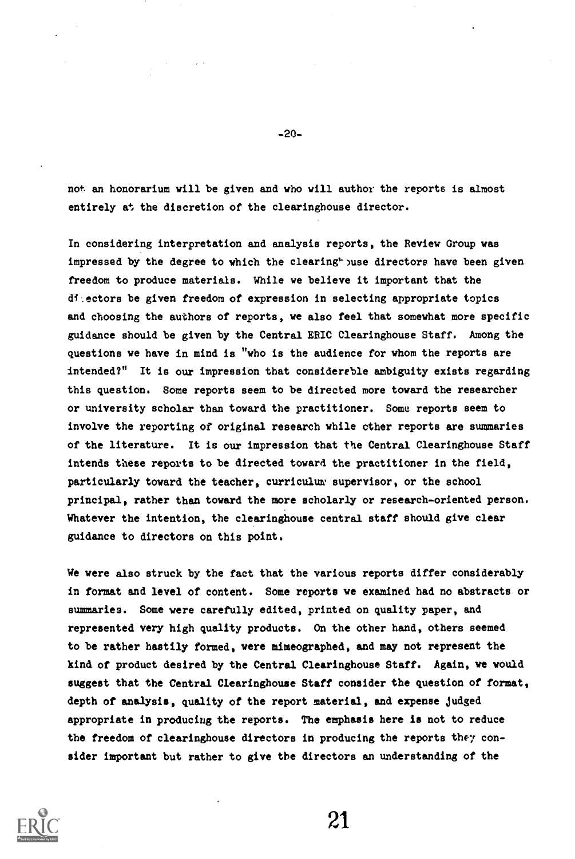not an honorarium will be given and who will author the reports is almost entirely at the discretion of the clearinghouse director.

In considering interpretation and analysis reports, the Review Group was impressed by the degree to which the clearing<sup>t</sup> puse directors have been given freedom to produce materials. While we believe it important that the di ectors be given freedom of expression in selecting appropriate topics and choosing the authors of reports, we also feel that somewhat more specific guidance should be given by the Central ERIC Clearinghouse Staff. Among the questions we have in mind is "who is the audience for whom the reports are intended?" It is our impression that considerable ambiguity exists regarding this question. Some reports seem to be directed more toward the researcher or university scholar than toward the practitioner. Some reports seem to involve the reporting of original research while ether reports are summaries of the literature. It is our impression that the Central Clearinghouse Staff intends these reports to be directed toward the practitioner in the field, particularly toward the teacher, curriculum supervisor, or the school principal, rather than toward the more scholarly or research-oriented person. Whatever the intention, the clearinghouse central staff should give clear guidance to directors on this point.

We were also struck by the fact that the various reports differ considerably in format and level of content. Some reports we examined had no abstracts or summaries. Some were carefully edited, printed on quality paper, and represented very high quality products. On the other hand, others seemed to be rather hastily formed, were mimeographed, and may not represent the kind of product desired by the Central Clearinghouse Staff. Again, we would suggest that the Central Clearinghouse Staff consider the question of format, depth of analysis, quality of the report material, and expense judged appropriate in producing the reports. The emphasis here is not to reduce the freedom of clearinghouse directors in producing the reports they consider important but rather to give the directors an understanding of the



-20-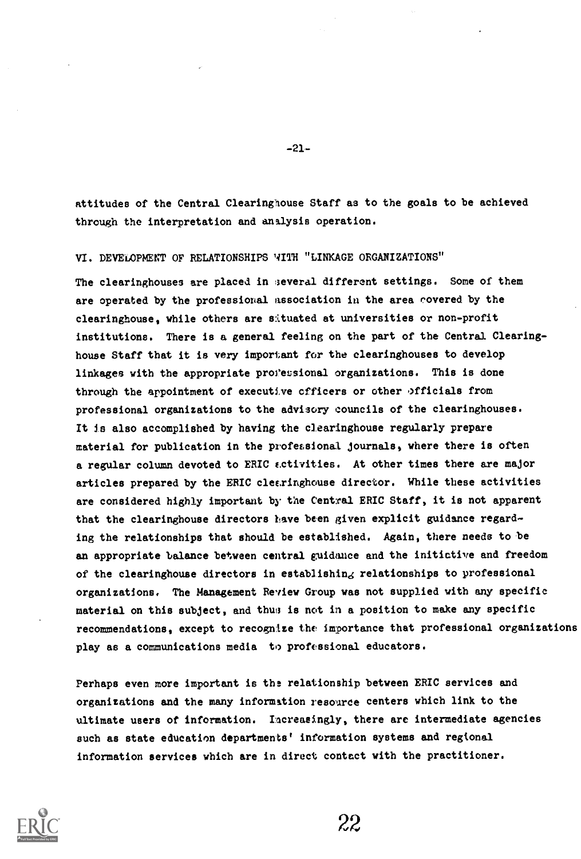attitudes of the Central Clearinghouse Staff as to the goals to be achieved through the interpretation and analysis operation.

-21-

VI. DEVELOPMENT OF RELATIONSHIPS WITH "LINKAGE ORGANIZATIONS"

The clearinghouses are placed in several different settings. Some of them are operated by the professional association in the area covered by the clearinghouse, while others are situated at universities or non-profit institutions. There is a general feeling on the part of the Central Clearinghouse Staff that it is very important for the clearinghouses to develop linkages with the appropriate professional organizations. This is done through the appointment of executive officers or other officials from professional organizations to the advisory councils of the clearinghouses. It is also accomplished by having the clearinghouse regularly prepare material for publication in the professional journals, where there is often a regular column devoted to ERIC ectivities. At other times there are major articles prepared by the ERIC clecringhouse director. While these activities are considered highly important by the Central ERIC Staff, it is not apparent that the clearinghouse directors have been given explicit guidance regarding the relationships that should be established. Again, there needs to be an appropriate balance between central guidance and the initiative and freedom of the clearinghouse directors in establishing relationships to professional organizations. The Management Review Group was not supplied with any specific material on this subject, and thus is not in a position to make any specific recommendations, except to recognize the importance that professional organizations play as a communications media to professional educators.

Perhaps even more important is the relationship between ERIC services and organizations and the many information resource centers which link to the ultimate users of information. Increasingly, there are intermediate agencies such as state education departments' information systems and regional information services which are in direct contact with the practitioner.

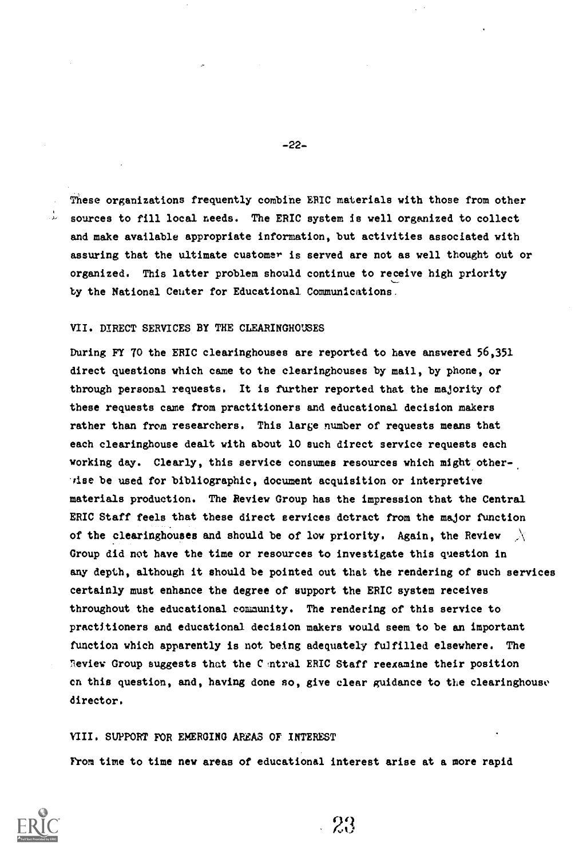These organizations frequently combine ERIC materials with those from other  $\sim$  sources to fill local needs. The ERIC system is well organized to collect and make available appropriate information, but activities associated with assuring that the ultimate customer is served are not as well thought out or organized. This latter problem should continue to receive high priority by the National Ceuter for Educational Communications.

## VII. DIRECT SERVICES BY THE CLEARINGHOUSES

During FY 70 the ERIC clearinghouses are reported to have answered 56,351 direct questions which came to the clearinghouses by mail, by phone, or through personal requests. It is further reported that the majority of these requests came from practitioners and educational decision makers rather than from researchers. This large number of requests means that each clearinghouse dealt with about 10 such direct service requests each working day. Clearly, this service consumes resources which might otherhise be used for bibliographic, document acquisition or interpretive materials production. The Review Group has the impression that the Central ERIC Staff feels that these direct services detract from the major function of the clearinghouses and should be of low priority. Again, the Review  $\chi$ Group did not have the time or resources to investigate this question in any depth, although it should be pointed out that the rendering of such services certainly must enhance the degree of support the ERIC system receives throughout the educational community. The rendering of this service to practitioners and educational decision makers would seem to be an important function which apparently is not being adequately fulfilled elsewhere. The Review Group suggests that the Central ERIC Staff reexamine their position cn this question, and, having done so, give clear guidance to the clearinghouse director.

#### VIII. SUPPORT FOR EMERGING AREAS OF INTEREST

From time to time new areas of educational interest arise at a more rapid



P9

-22-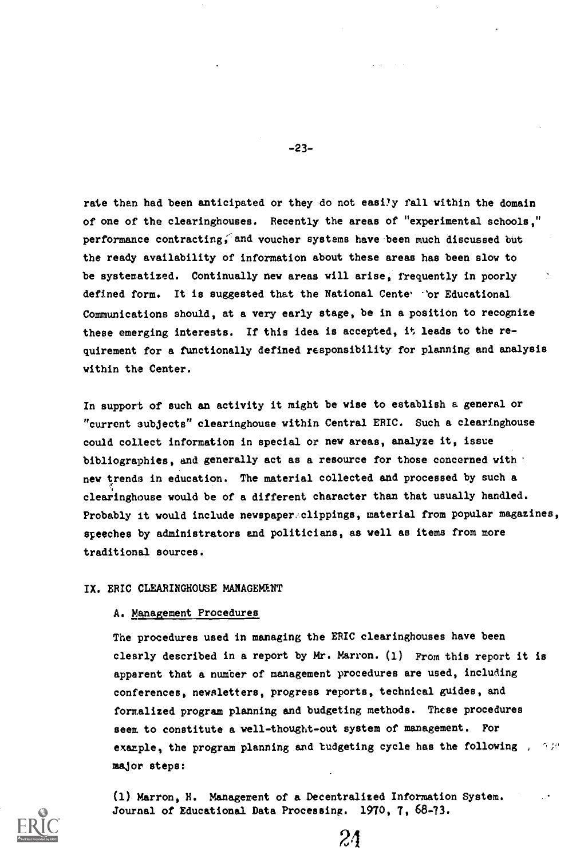rate than had been anticipated or they do not easily fall within the domain of one of the clearinghouses. Recently the areas of "experimental schools," performance contracting, and voucher systems have been much discussed but the ready availability of information about these areas has been slow to be systematized. Continually new areas will arise, frequently in poorly defined form. It is suggested that the National Cente - or Educational Communications should, at a very early stage, be in a position to recognize these emerging interests. If this idea is accepted, it leads to the requirement for a functionally defined responsibility for planning and analysis within the Center.

In support of such an activity it might be wise to establish a general or "current subjects" clearinghouse within Central ERIC. Such a clearinghouse could collect information in special or new areas, analyze it, issue bibliographies, and generally act as a resource for those concerned with new trends in education. The material collected and processed by such a clearinghouse would be of a different character than that usually handled. Probably it would include newspaper clippings, material from popular magazines, speeches by administrators and politicians, as well as items from more traditional sources.

# IX. ERIC CLEARINGHOUSE MANAGEMENT

#### A. Management Procedures

The procedures used in managing the ERIC clearinghouses have been clearly described in a report by Mr. Marron. (1) From this report it is apparent that a number of management procedures are used, including conferences, newsletters, progress reports, technical guides, and formalized program planning and budgeting methods. These procedures seem to constitute a well-thought-out system of management. For example, the program planning and budgeting cycle has the following  $\mathcal{A} \otimes \mathbb{R}^d$ major steps:

24

(1) Marron, H. Management of a Decentralized Information System. Journal of Educational Data Processing. 1970, 7, 68-73.

-23-

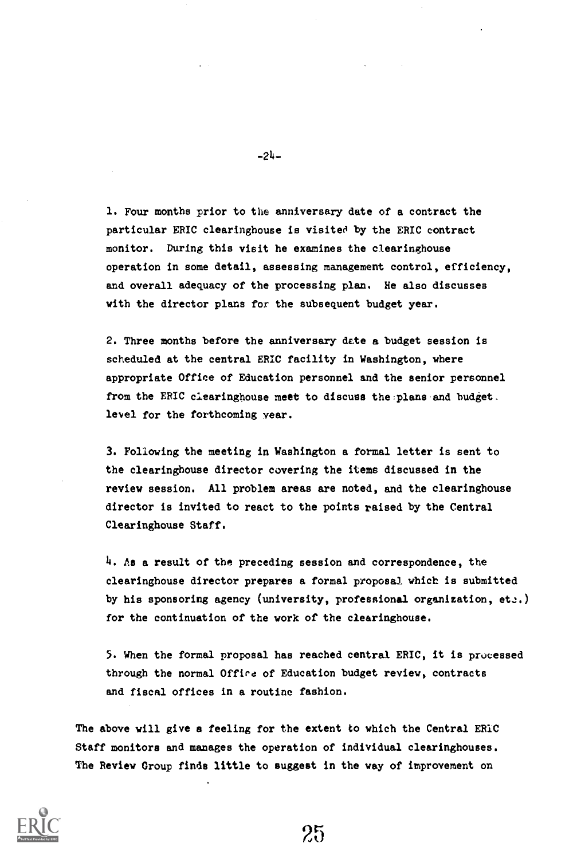1. Four months prior to the anniversary date of a contract the particular ERIC clearinghouse is visited by the ERIC contract monitor. During this visit he examines the clearinghouse operation in some detail, assessing management control, efficiency, and overall adequacy of the processing plan. He also discusses with the director plans for the subsequent budget year.

2. Three months before the anniversary date a budget session is scheduled at the central ERIC facility in Washington, where appropriate Office of Education personnel and the senior personnel from the ERIC clearinghouse meet to discuss the plans and budget. level for the forthcoming year.

3. Following the meeting in Washington a formal letter is sent to the clearinghouse director covering the items discussed in the review session. All problem areas are noted, and the clearinghouse director is invited to react to the points raised by the Central Clearinghouse Staff.

4. As a result of the preceding session and correspondence, the clearinghouse director prepares a formal proposal which is submitted by his sponsoring agency (university, professional organization,  $et:$ ). for the continuation of the work of the clearinghouse.

5. When the formal proposal has reached central ERIC, it is processed through the normal Offira of Education budget review, contracts and fiscal offices in a routine fashion.

25

The above will give a feeling for the extent to which the Central ERIC Staff monitors and manages the operation of individual clearinghouses. The Review Croup finds little to suggest in the way of improvement on



-24-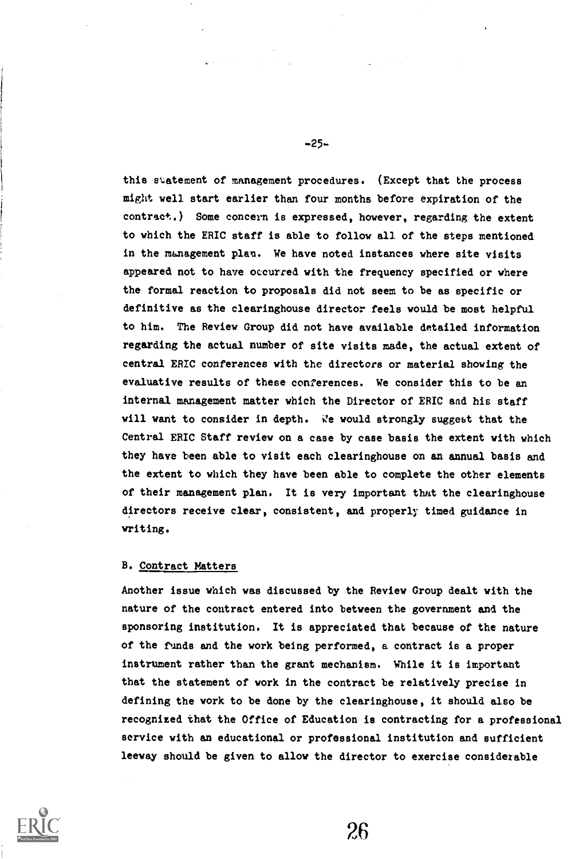this statement of management procedures. (Except that the process might well start earlier than four months before expiration of the contract.) Some concern is expressed, however, regarding the extent to which the ERIC staff is able to follow all of the steps mentioned in the management plan. We have noted instances where site visits appeared not to have occurred with the frequency specified or where the formal reaction to proposals did not seem to be as specific or definitive as the clearinghouse director feels would be most helpful to him. The Review Group did not have available detailed information regarding the actual number of site visits made, the actual extent of central ERIC conferences with the directors or material showing the evaluative results of these conferences. We consider this to be an internal management matter which the Director of ERIC and his staff will want to consider in depth. We would strongly suggest that the Central ERIC Staff review on a case by case basis the extent with which they have been able to visit each clearinghouse on an annual basis and the extent to which they have been able to complete the other elements of their management plan. It is very important that the clearinghouse directors receive clear, consistent, and properly timed guidance in writing.

## B. Contract Matters

Another issue which was discussed by the Review Group dealt with the nature of the contract entered into between the government and the sponsoring institution. It is appreciated that because of the nature of the funds and the work being performed, a contract is a proper instrument rather than the grant mechanism. While it is important that the statement of work in the contract be relatively precise in defining the work to be done by the clearinghouse, it should also be recognized that the Office of Education is contracting for a professional service with an educational or professional institution and sufficient leeway should be given to allow the director to exercise considerable



-25-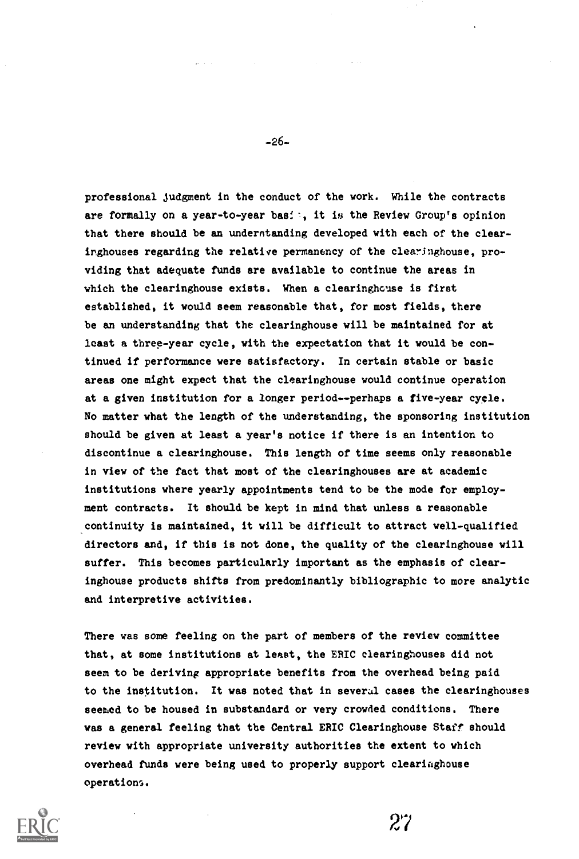professional judgment in the conduct of the work. While the contracts are formally on a year-to-year bas:  $\cdot$ , it is the Review Group's opinion that there should be an understanding developed with each of the clearinghouses regarding the relative permanency of the clearinghouse, providing that adequate funds are available to continue the areas in which the clearinghouse exists. When a clearinghouse is first established, it would seem reasonable that, for most fields, there be an understanding that the clearinghouse will be maintained for at least a three-year cycle, with the expectation that it would be continued if performance were satisfactory. In certain stable or basic areas one might expect that the clearinghouse would continue operation at a given institution for a longer period--perhaps a five-year cycle. No matter what the length of the understanding, the sponsoring institution should be given at least a year's notice if there is an intention to discontinue a clearinghouse. This length of time seems only reasonable in view of the fact that most of the clearinghouses are at academic institutions where yearly appointments tend to be the mode for employment contracts. It should be kept in mind that unless a reasonable continuity is maintained, it will be difficult to attract well-qualified directors and, if this is not done, the quality of the clearinghouse will suffer. This becomes particularly important as the emphasis of clearinghouse products shifts from predominantly bibliographic to more analytic and interpretive activities.

There was some feeling on the part of members of the review committee that, at some institutions at least, the ERIC clearinghouses did not seem to be deriving appropriate benefits from the overhead being paid to the institution. It was noted that in several cases the clearinghouses seemed to be housed in substandard or very crowded conditions. There was a general feeling that the Central ERIC Clearinghouse Staff should review with appropriate university authorities the extent to which overhead funds were being used to properly support clearinghouse operations.



-26-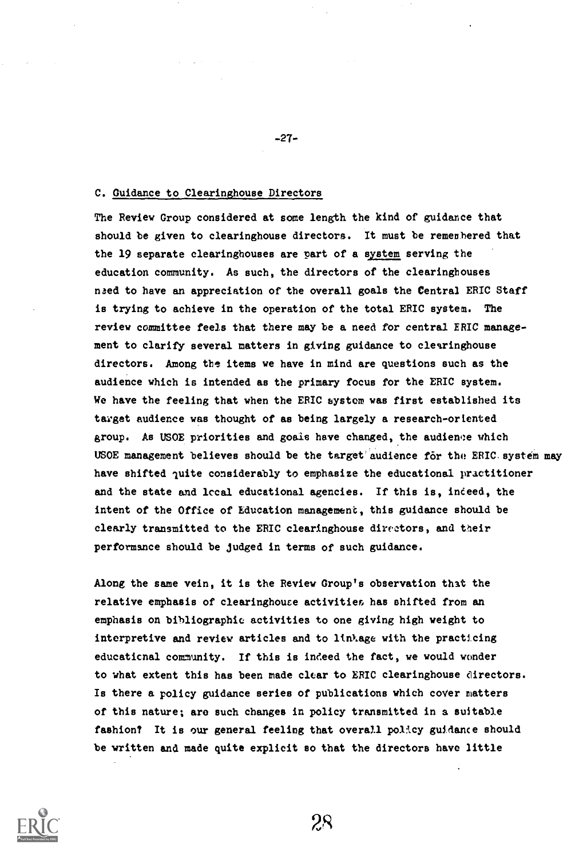# C. Guidance to Clearinghouse Directors

The Review Group considered at some length the kind of guidance that should be given to clearinghouse directors. It must be remenhered that the 19 separate clearinghouses are part of a system serving the education community. As such, the directors of the clearinghouses naed to have an appreciation of the overall goals the Central ERIC Staff is trying to achieve in the operation of the total ERIC system. The review committee feels that there may be a need for central ERIC management to clarify several matters in giving guidance to clearinghouse directors. Among the items we have in mind are questions such as the audience which is intended as the primary focus for the ERIC system. We have the feeling that when the ERIC system was first established its target audience was thought of as being largely a research-oriented group. As USOE priorities and goals have changed, the audience which USOE management believes should be the target audience for the ERIC system may have shifted quite considerably to emphasize the educational practitioner and the state and local educational agencies. If this is, indeed, the intent of the Office of Education management, this guidance should be clearly transmitted to the ERIC clearinghouse directors, and their performance should be judged in terms of such guidance.

Along the same vein, it is the Review Group's observation that the relative emphasis of clearinghouse activities, has shifted from an emphasis on bibliographic activities to one giving high weight to interpretive and review articles and to lin%age with the practicing educational community. If this is indeed the fact, we would wonder to what extent this has been made clear to ERIC clearinghouse directors. Is there a policy guidance series of publications which coyer matters of this nature; aro such changes in policy transmitted in a suitable fashion? It is our general feeling that overall policy guidance should be written and made quite explicit so that the directors have little

28



-27-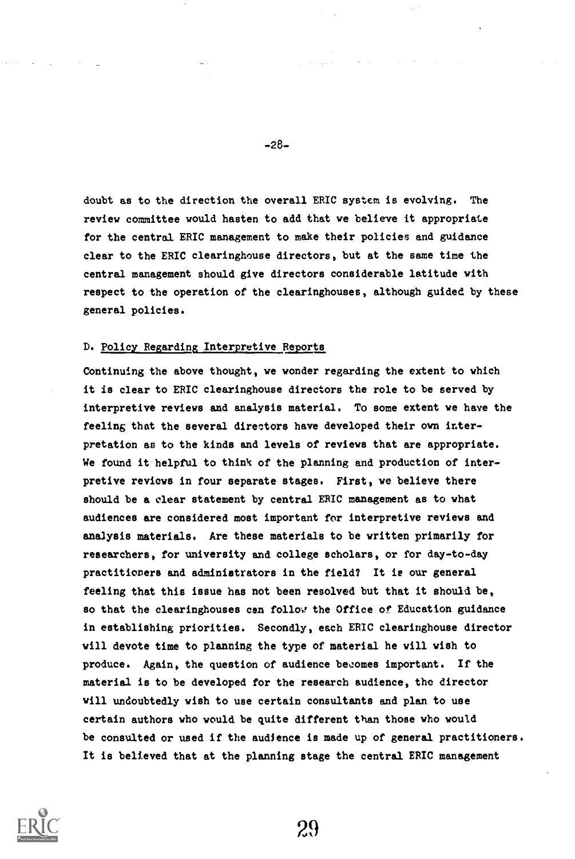doubt as to the direction the overall ERIC system is evolving. The review committee would hasten to add that we believe it appropriate for the central ERIC management to make their policies and guidance clear to the ERIC clearinghouse directors, but at the same time the central management should give directors considerable latitude with respect to the operation of the clearinghouses, although guided by these general policies.

## D. Policy Regarding Interpretive Reports

Continuing the above thought, we wonder regarding the extent to which it is clear to ERIC clearinghouse directors the role to be served by interpretive reviews and analysis material. To some extent we have the feeling that the several directors have developed their own interpretation as to the kinds and levels of reviews that are appropriate. We found it helpful to think of the planning and production of interpretive reviews in four separate stages. First, we believe there should be a clear statement by central ERIC management as to what audiences are considered most important for interpretive reviews and analysis materials. Are these materials to be written primarily for researchers, for university and college scholars, or for day-to-day practitioners and administrators in the field? It is our general feeling that this issue has not been resolved but that it should be, so that the clearinghouses can follov the Office of Education guidance in establishing priorities. Secondly, each ERIC clearinghouse director will devote time to planning the type of material he will wish to produce. Again, the question of audience becomes important. If the material is to be developed for the research audience, the director will undoubtedly wish to use certain consultants and plan to use certain authors who would be quite different than those who would be consulted or used if the audience is made up of general practitioners. It is believed that at the planning stage the central ERIC management



-28-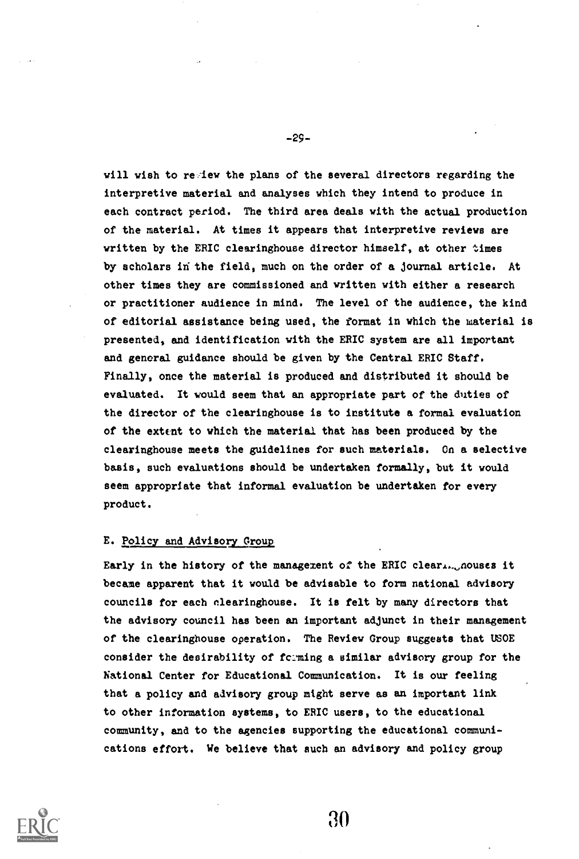will wish to regiew the plans of the several directors regarding the interpretive material and analyses which they intend to produce in each contract period. The third area deals with the actual production of the material. At times it appears that interpretive reviews are written by the ERIC clearinghouse director himself, at other times by scholars in the field, much on the order of a journal article. At other times they are commissioned and written with either a research or practitioner audience in mind. The level of the audience, the kind of editorial assistance being used, the format in which the waterial is presented, and identification with the ERIC system are all important and general guidance should be given by the Central ERIC Staff. Finally, once the material is produced and distributed it should be evaluated. It would seem that an appropriate part of the duties of the director of the clearinghouse is to institute a formal evaluation of the extent to which the material that has been produced by the clearinghouse meets the guidelines for such materials. On a selective basis, such evaluations should be undertaken formally, but it would seem appropriate that informal evaluation be undertaken for every product.

## E. Policy and Advisory Croup

Early in the history of the management of the ERIC clear..... nouses it became apparent that it would be advisable to form national advisory councils for each nlearinghouse. It is felt by many directors that the advisory council has been an important adjunct in their management of the clearinghouse operation. The Review Group suggests that USOE consider the desirability of feming a similar advisory group for the National Center for Educational Communication. It is our feeling that a policy and advisory group might serve as an important link to other information systems, to ERIC users, to the educational community, and to the agencies supporting the educational communications effort. We believe that such an advisory and policy group



-29-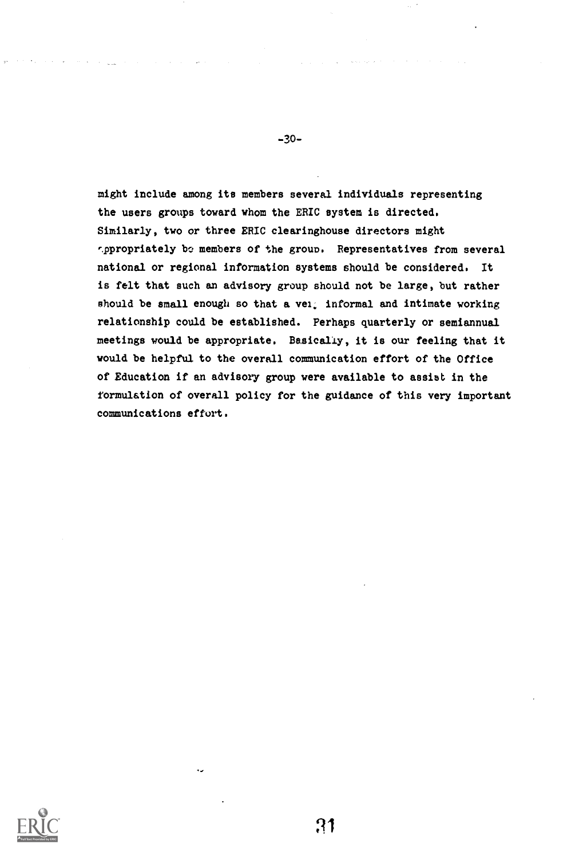might include among its members several individuals representing the users groups toward whom the ERIC system is directed. Similarly, two or three ERIC clearinghouse directors might .ppropriately be members of the group. Representatives from several national or regional information systems should be considered. It is felt that such an advisory group should not be large, but rather should be small enough so that a vel. informal and intimate working relationship could be established. Perhaps quarterly or semiannual meetings would be appropriate. Basically, it is our feeling that it would be helpful to the overall communication effort of the Office of Education if an advisory group were available to assiat in the formulation of overall policy for the guidance of this very important communications effort.



31

-30-